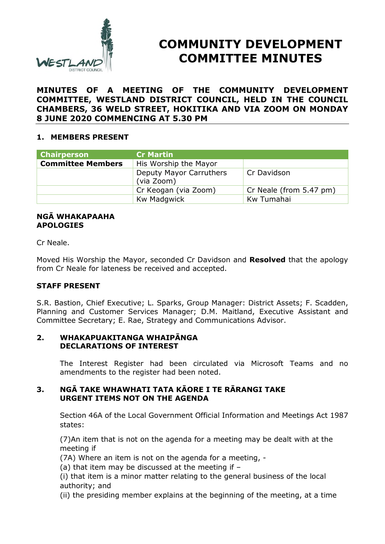

# **COMMUNITY DEVELOPMENT COMMITTEE MINUTES**

# **MINUTES OF A MEETING OF THE COMMUNITY DEVELOPMENT COMMITTEE, WESTLAND DISTRICT COUNCIL, HELD IN THE COUNCIL CHAMBERS, 36 WELD STREET, HOKITIKA AND VIA ZOOM ON MONDAY 8 JUNE 2020 COMMENCING AT 5.30 PM**

# **1. MEMBERS PRESENT**

| <b>Chairperson</b>       | <b>Cr Martin</b>                      |                         |
|--------------------------|---------------------------------------|-------------------------|
| <b>Committee Members</b> | His Worship the Mayor                 |                         |
|                          | Deputy Mayor Carruthers<br>(via Zoom) | Cr Davidson             |
|                          | Cr Keogan (via Zoom)                  | Cr Neale (from 5.47 pm) |
|                          | Kw Madgwick                           | Kw Tumahai              |

#### **NGĀ WHAKAPAAHA APOLOGIES**

Cr Neale.

Moved His Worship the Mayor, seconded Cr Davidson and **Resolved** that the apology from Cr Neale for lateness be received and accepted.

# **STAFF PRESENT**

S.R. Bastion, Chief Executive; L. Sparks, Group Manager: District Assets; F. Scadden, Planning and Customer Services Manager; D.M. Maitland, Executive Assistant and Committee Secretary; E. Rae, Strategy and Communications Advisor.

#### **2. WHAKAPUAKITANGA WHAIPĀNGA DECLARATIONS OF INTEREST**

The Interest Register had been circulated via Microsoft Teams and no amendments to the register had been noted.

# **3. NGĀ TAKE WHAWHATI TATA KĀORE I TE RĀRANGI TAKE URGENT ITEMS NOT ON THE AGENDA**

Section 46A of the Local Government Official Information and Meetings Act 1987 states:

(7)An item that is not on the agenda for a meeting may be dealt with at the meeting if

(7A) Where an item is not on the agenda for a meeting, -

(a) that item may be discussed at the meeting if –

(i) that item is a minor matter relating to the general business of the local authority; and

(ii) the presiding member explains at the beginning of the meeting, at a time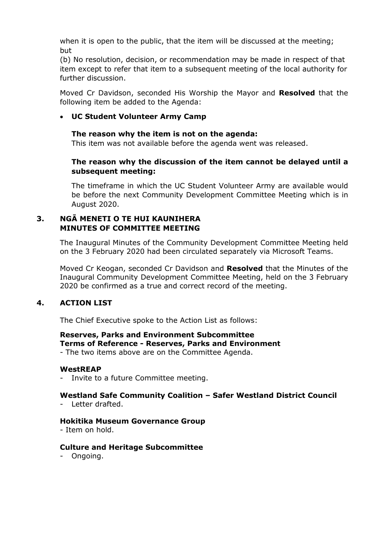when it is open to the public, that the item will be discussed at the meeting; but

(b) No resolution, decision, or recommendation may be made in respect of that item except to refer that item to a subsequent meeting of the local authority for further discussion.

Moved Cr Davidson, seconded His Worship the Mayor and **Resolved** that the following item be added to the Agenda:

# **UC Student Volunteer Army Camp**

#### **The reason why the item is not on the agenda:**

This item was not available before the agenda went was released.

# **The reason why the discussion of the item cannot be delayed until a subsequent meeting:**

The timeframe in which the UC Student Volunteer Army are available would be before the next Community Development Committee Meeting which is in August 2020.

# **3. NGĀ MENETI O TE HUI KAUNIHERA MINUTES OF COMMITTEE MEETING**

The Inaugural Minutes of the Community Development Committee Meeting held on the 3 February 2020 had been circulated separately via Microsoft Teams.

Moved Cr Keogan, seconded Cr Davidson and **Resolved** that the Minutes of the Inaugural Community Development Committee Meeting, held on the 3 February 2020 be confirmed as a true and correct record of the meeting.

# **4. ACTION LIST**

The Chief Executive spoke to the Action List as follows:

#### **Reserves, Parks and Environment Subcommittee Terms of Reference - Reserves, Parks and Environment**

- The two items above are on the Committee Agenda.

#### **WestREAP**

Invite to a future Committee meeting.

# **Westland Safe Community Coalition – Safer Westland District Council**

Letter drafted.

#### **Hokitika Museum Governance Group**

- Item on hold.

#### **Culture and Heritage Subcommittee**

- Ongoing.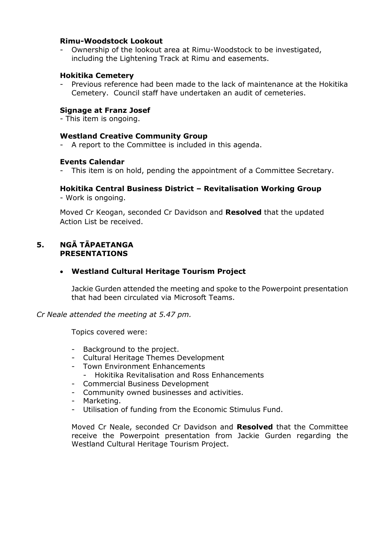#### **Rimu-Woodstock Lookout**

Ownership of the lookout area at Rimu-Woodstock to be investigated, including the Lightening Track at Rimu and easements.

#### **Hokitika Cemetery**

- Previous reference had been made to the lack of maintenance at the Hokitika Cemetery. Council staff have undertaken an audit of cemeteries.

#### **Signage at Franz Josef**

- This item is ongoing.

#### **Westland Creative Community Group**

- A report to the Committee is included in this agenda.

#### **Events Calendar**

This item is on hold, pending the appointment of a Committee Secretary.

#### **Hokitika Central Business District – Revitalisation Working Group**

- Work is ongoing.

Moved Cr Keogan, seconded Cr Davidson and **Resolved** that the updated Action List be received.

# **5. NGĀ TĀPAETANGA PRESENTATIONS**

# **Westland Cultural Heritage Tourism Project**

Jackie Gurden attended the meeting and spoke to the Powerpoint presentation that had been circulated via Microsoft Teams.

*Cr Neale attended the meeting at 5.47 pm.* 

Topics covered were:

- Background to the project.
- Cultural Heritage Themes Development
- Town Environment Enhancements
	- Hokitika Revitalisation and Ross Enhancements
- Commercial Business Development
- Community owned businesses and activities.
- Marketing.
- Utilisation of funding from the Economic Stimulus Fund.

Moved Cr Neale, seconded Cr Davidson and **Resolved** that the Committee receive the Powerpoint presentation from Jackie Gurden regarding the Westland Cultural Heritage Tourism Project.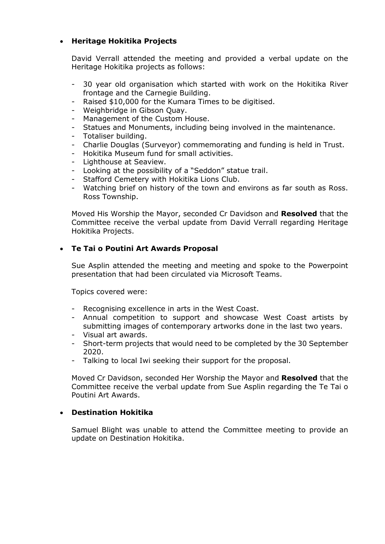# **Heritage Hokitika Projects**

David Verrall attended the meeting and provided a verbal update on the Heritage Hokitika projects as follows:

- 30 year old organisation which started with work on the Hokitika River frontage and the Carnegie Building.
- Raised \$10,000 for the Kumara Times to be digitised.
- Weighbridge in Gibson Quay.
- Management of the Custom House.
- Statues and Monuments, including being involved in the maintenance.
- Totaliser building.
- Charlie Douglas (Surveyor) commemorating and funding is held in Trust.
- Hokitika Museum fund for small activities.
- Lighthouse at Seaview.
- Looking at the possibility of a "Seddon" statue trail.
- Stafford Cemetery with Hokitika Lions Club.
- Watching brief on history of the town and environs as far south as Ross. Ross Township.

Moved His Worship the Mayor, seconded Cr Davidson and **Resolved** that the Committee receive the verbal update from David Verrall regarding Heritage Hokitika Projects.

# **Te Tai o Poutini Art Awards Proposal**

Sue Asplin attended the meeting and meeting and spoke to the Powerpoint presentation that had been circulated via Microsoft Teams.

Topics covered were:

- Recognising excellence in arts in the West Coast.
- Annual competition to support and showcase West Coast artists by submitting images of contemporary artworks done in the last two years.
- Visual art awards.
- Short-term projects that would need to be completed by the 30 September 2020.
- Talking to local Iwi seeking their support for the proposal.

Moved Cr Davidson, seconded Her Worship the Mayor and **Resolved** that the Committee receive the verbal update from Sue Asplin regarding the Te Tai o Poutini Art Awards.

# **Destination Hokitika**

Samuel Blight was unable to attend the Committee meeting to provide an update on Destination Hokitika.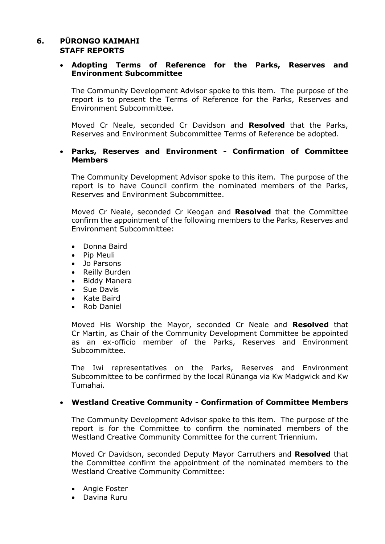# **6. PŪRONGO KAIMAHI STAFF REPORTS**

#### **Adopting Terms of Reference for the Parks, Reserves and Environment Subcommittee**

The Community Development Advisor spoke to this item. The purpose of the report is to present the Terms of Reference for the Parks, Reserves and Environment Subcommittee.

Moved Cr Neale, seconded Cr Davidson and **Resolved** that the Parks, Reserves and Environment Subcommittee Terms of Reference be adopted.

#### **Parks, Reserves and Environment - Confirmation of Committee Members**

The Community Development Advisor spoke to this item. The purpose of the report is to have Council confirm the nominated members of the Parks, Reserves and Environment Subcommittee.

Moved Cr Neale, seconded Cr Keogan and **Resolved** that the Committee confirm the appointment of the following members to the Parks, Reserves and Environment Subcommittee:

- Donna Baird
- Pip Meuli
- Jo Parsons
- Reilly Burden
- Biddy Manera
- Sue Davis
- Kate Baird
- Rob Daniel

Moved His Worship the Mayor, seconded Cr Neale and **Resolved** that Cr Martin, as Chair of the Community Development Committee be appointed as an ex-officio member of the Parks, Reserves and Environment Subcommittee.

The Iwi representatives on the Parks, Reserves and Environment Subcommittee to be confirmed by the local Rūnanga via Kw Madgwick and Kw Tumahai.

# **Westland Creative Community - Confirmation of Committee Members**

The Community Development Advisor spoke to this item. The purpose of the report is for the Committee to confirm the nominated members of the Westland Creative Community Committee for the current Triennium.

Moved Cr Davidson, seconded Deputy Mayor Carruthers and **Resolved** that the Committee confirm the appointment of the nominated members to the Westland Creative Community Committee:

- Angie Foster
- Davina Ruru